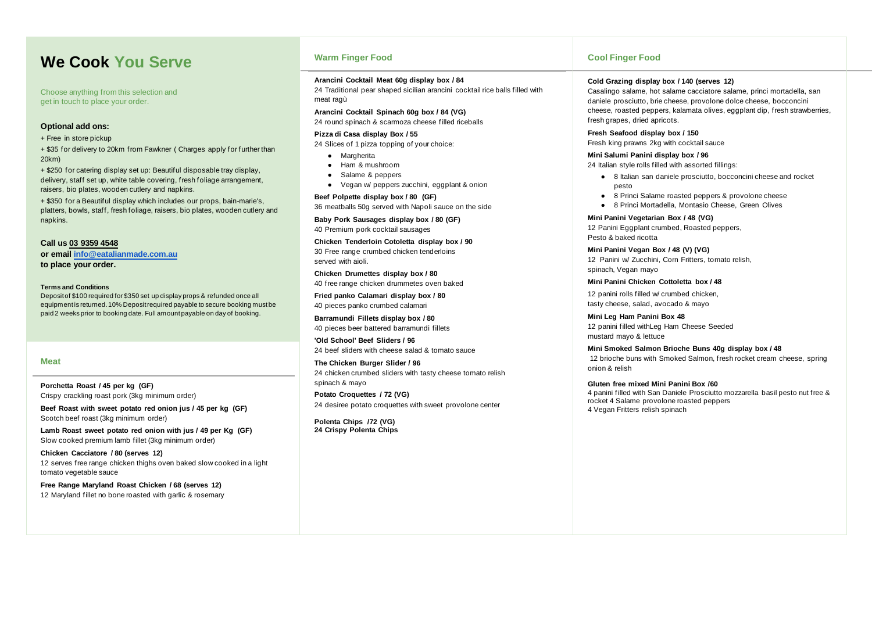# **We Cook You Serve**

Choose anything from this selection and get in touch to place your order.

### **Optional add ons:**

+ Free in store pickup

+ \$35 for delivery to 20km from Fawkner ( Charges apply for further than 20km)

+ \$250 for catering display set up: Beautiful disposable tray display, delivery, staff set up, white table covering, fresh foliage arrangement, raisers, bio plates, wooden cutlery and napkins.

+ \$350 for a Beautiful display which includes our props, bain-marie's, platters, bowls, staff, fresh foliage, raisers, bio plates, wooden cutlery and napkins.

**Call us 03 9359 4548 or email [info@eatalianmade.com.au](mailto:info@eatalianmade.com.au) to place your order.**

- Margherita
- Ham & mushroom
- Salame & peppers
- Vegan w/ peppers zucchini, eggplant & onion

### **Terms and Conditions**

Deposit of \$100 required for \$350 set up display props & refunded once all equipment is returned. 10% Deposit required payable to secure booking must be paid 2 weeks prior to booking date. Full amount payable on day of booking.

## **Warm Finger Food**

### **Arancini Cocktail Meat 60g display box / 84**

24 Traditional pear shaped sicilian arancini cocktail rice balls filled with meat ragù

**Arancini Cocktail Spinach 60g box / 84 (VG)** 24 round spinach & scarmoza cheese filled riceballs

### **Pizza di Casa display Box / 55**

24 Slices of 1 pizza topping of your choice:

### **Beef Polpette display box / 80 (GF)**

36 meatballs 50g served with Napoli sauce on the side

**Baby Pork Sausages display box / 80 (GF)** 40 Premium pork cocktail sausages

**Chicken Tenderloin Cotoletta display box / 90** 30 Free range crumbed chicken tenderloins served with aioli.

**Chicken Drumettes display box / 80** 40 free range chicken drummetes oven baked

**Fried panko Calamari display box / 80** 40 pieces panko crumbed calamari

**Barramundi Fillets display box / 80** 40 pieces beer battered barramundi fillets

**'Old School' Beef Sliders / 96** 24 beef sliders with cheese salad & tomato sauce

**The Chicken Burger Slider / 96** 24 chicken crumbed sliders with tasty cheese tomato relish spinach & mayo

**Potato Croquettes / 72 (VG)** 24 desiree potato croquettes with sweet provolone center

**Polenta Chips /72 (VG) 24 Crispy Polenta Chips**

# **Cool Finger Food**

## **Cold Grazing display box / 140 (serves 12)**

Casalingo salame, hot salame cacciatore salame, princi mortadella, san daniele prosciutto, brie cheese, provolone dolce cheese, bocconcini cheese, roasted peppers, kalamata olives, eggplant dip, fresh strawberries, fresh grapes, dried apricots.

# **Fresh Seafood display box / 150**

Fresh king prawns 2kg with cocktail sauce

# **Mini Salumi Panini display box / 96**

24 Italian style rolls filled with assorted fillings:

● 8 Italian san daniele prosciutto, bocconcini cheese and rocket

● 8 Princi Salame roasted peppers & provolone cheese ● 8 Princi Mortadella, Montasio Cheese, Green Olives

- pesto
- 
- 

**Mini Panini Vegetarian Box / 48 (VG)** 12 Panini Eggplant crumbed, Roasted peppers, Pesto & baked ricotta

# **Mini Panini Vegan Box / 48 (V) (VG)**

12 Panini w/ Zucchini, Corn Fritters, tomato relish,

spinach, Vegan mayo

## **Mini Panini Chicken Cottoletta box / 48**

12 panini rolls filled w/ crumbed chicken,

tasty cheese, salad, avocado & mayo

**Mini Leg Ham Panini Box 48** 12 panini filled withLeg Ham Cheese Seeded mustard mayo & lettuce

## **Mini Smoked Salmon Brioche Buns 40g display box / 48**

12 brioche buns with Smoked Salmon, fresh rocket cream cheese, spring

onion & relish

**Gluten free mixed Mini Panini Box /60**  4 Vegan Fritters relish spinach

4 panini filled with San Daniele Prosciutto mozzarella basil pesto nut free & rocket 4 Salame provolone roasted peppers

### **Meat**

**Porchetta Roast / 45 per kg (GF)** Crispy crackling roast pork (3kg minimum order)

**Beef Roast with sweet potato red onion jus / 45 per kg (GF)** Scotch beef roast (3kg minimum order)

**Lamb Roast sweet potato red onion with jus / 49 per Kg (GF)**  Slow cooked premium lamb fillet (3kg minimum order)

**Chicken Cacciatore / 80 (serves 12)** 12 serves free range chicken thighs oven baked slow cooked in a light tomato vegetable sauce

**Free Range Maryland Roast Chicken / 68 (serves 12)** 12 Maryland fillet no bone roasted with garlic & rosemary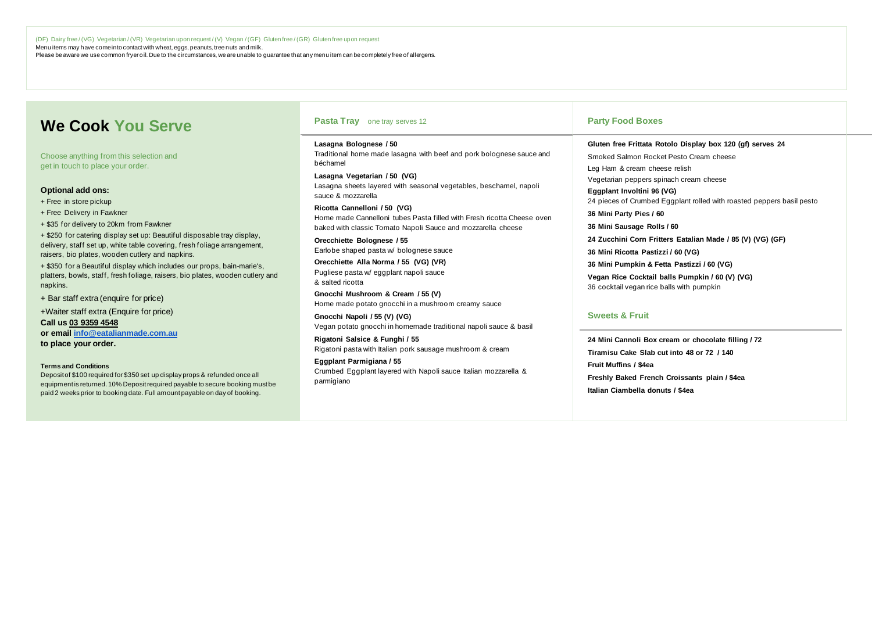(DF) Dairy free / (VG) Vegetarian / (VR) Vegetarian upon request / (V) Vegan / (GF) Gluten free / (GR) Gluten free upon request Menu items may have come into contact with wheat, eggs, peanuts, tree nuts and milk. Please be aware we use common fryer oil. Due to the circumstances, we are unable to guarantee that any menu item can be completely free of allergens.

# **We Cook You Serve**

Choose anything from this selection and get in touch to place your order.

### **Optional add ons:**

- + Free in store pickup
- + Free Delivery in Fawkner
- + \$35 for delivery to 20km from Fawkner

+ \$250 for catering display set up: Beautiful disposable tray display, delivery, staff set up, white table covering, fresh foliage arrangement, raisers, bio plates, wooden cutlery and napkins.

+ \$350 for a Beautiful display which includes our props, bain-marie's, platters, bowls, staff, fresh foliage, raisers, bio plates, wooden cutlery and napkins.

+ Bar staff extra (enquire for price)

+Waiter staff extra (Enquire for price)

**Call us 03 9359 4548 or email [info@eatalianmade.com.au](mailto:info@eatalianmade.com.au)**

**to place your order.**

### **Terms and Conditions**

Deposit of \$100 required for \$350 set up display props & refunded once all equipment is returned. 10% Deposit required payable to secure booking must be paid 2 weeks prior to booking date. Full amount payable on day of booking.

### **Pasta Tray** one tray serves 12

**Lasagna Bolognese / 50** Traditional home made lasagna with beef and pork bolognese sauce and béchamel

**Lasagna Vegetarian / 50 (VG)** Lasagna sheets layered with seasonal vegetables, beschamel, napoli sauce & mozzarella

**Ricotta Cannelloni / 50 (VG)** Home made Cannelloni tubes Pasta filled with Fresh ricotta Cheese oven baked with classic Tomato Napoli Sauce and mozzarella cheese

**Orecchiette Bolognese / 55**  Earlobe shaped pasta w/ bolognese sauce

**Orecchiette Alla Norma / 55 (VG) (VR)** Pugliese pasta w/ eggplant napoli sauce & salted ricotta

**Gnocchi Mushroom & Cream / 55 (V)**  Home made potato gnocchi in a mushroom creamy sauce

**Gnocchi Napoli / 55 (V) (VG)** Vegan potato gnocchi in homemade traditional napoli sauce & basil

**Rigatoni Salsice & Funghi / 55** Rigatoni pasta with Italian pork sausage mushroom & cream

**Eggplant Parmigiana / 55** Crumbed Eggplant layered with Napoli sauce Italian mozzarella & parmigiano

### **Party Food Boxes**

**Gluten free Frittata Rotolo Display box 120 (gf) serves 24** Smoked Salmon Rocket Pesto Cream cheese Leg Ham & cream cheese relish Vegetarian peppers spinach cream cheese **Eggplant Involtini 96 (VG)** 24 pieces of Crumbed Eggplant rolled with roasted peppers basil pesto **36 Mini Party Pies / 60 36 Mini Sausage Rolls / 60 24 Zucchini Corn Fritters Eatalian Made / 85 (V) (VG) (GF) 36 Mini Ricotta Pastizzi / 60 (VG) 36 Mini Pumpkin & Fetta Pastizzi / 60 (VG) Vegan Rice Cocktail balls Pumpkin / 60 (V) (VG)** 36 cocktail vegan rice balls with pumpkin **Sweets & Fruit 24 Mini Cannoli Box cream or chocolate filling / 72**

**Tiramisu Cake Slab cut into 48 or 72 / 140 Fruit Muffins / \$4ea Freshly Baked French Croissants plain / \$4ea Italian Ciambella donuts / \$4ea**